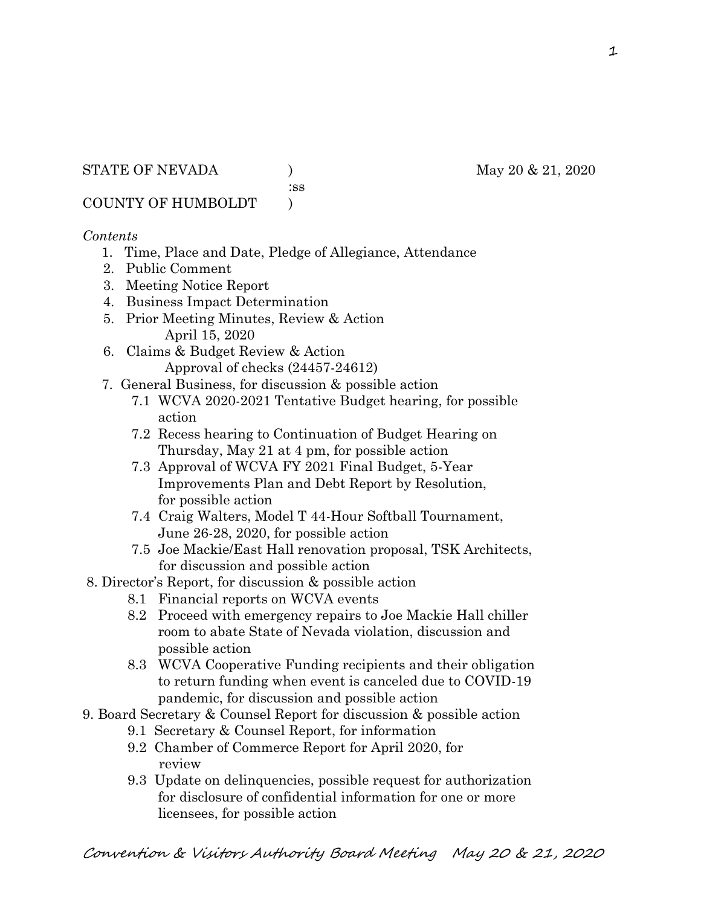:ss

COUNTY OF HUMBOLDT )

## *Contents*

- 1. Time, Place and Date, Pledge of Allegiance, Attendance
- 2. Public Comment
- 3. Meeting Notice Report
- 4. Business Impact Determination
- 5. Prior Meeting Minutes, Review & Action April 15, 2020
- 6. Claims & Budget Review & Action Approval of checks (24457-24612)
- 7. General Business, for discussion & possible action
	- 7.1 WCVA 2020-2021 Tentative Budget hearing, for possible action
	- 7.2 Recess hearing to Continuation of Budget Hearing on Thursday, May 21 at 4 pm, for possible action
	- 7.3 Approval of WCVA FY 2021 Final Budget, 5-Year Improvements Plan and Debt Report by Resolution, for possible action
	- 7.4 Craig Walters, Model T 44-Hour Softball Tournament, June 26-28, 2020, for possible action
	- 7.5 Joe Mackie/East Hall renovation proposal, TSK Architects, for discussion and possible action
- 8. Director's Report, for discussion & possible action
	- 8.1 Financial reports on WCVA events
	- 8.2 Proceed with emergency repairs to Joe Mackie Hall chiller room to abate State of Nevada violation, discussion and possible action
	- 8.3 WCVA Cooperative Funding recipients and their obligation to return funding when event is canceled due to COVID-19 pandemic, for discussion and possible action
- 9. Board Secretary & Counsel Report for discussion & possible action
	- 9.1 Secretary & Counsel Report, for information
		- 9.2 Chamber of Commerce Report for April 2020, for review
		- 9.3 Update on delinquencies, possible request for authorization for disclosure of confidential information for one or more licensees, for possible action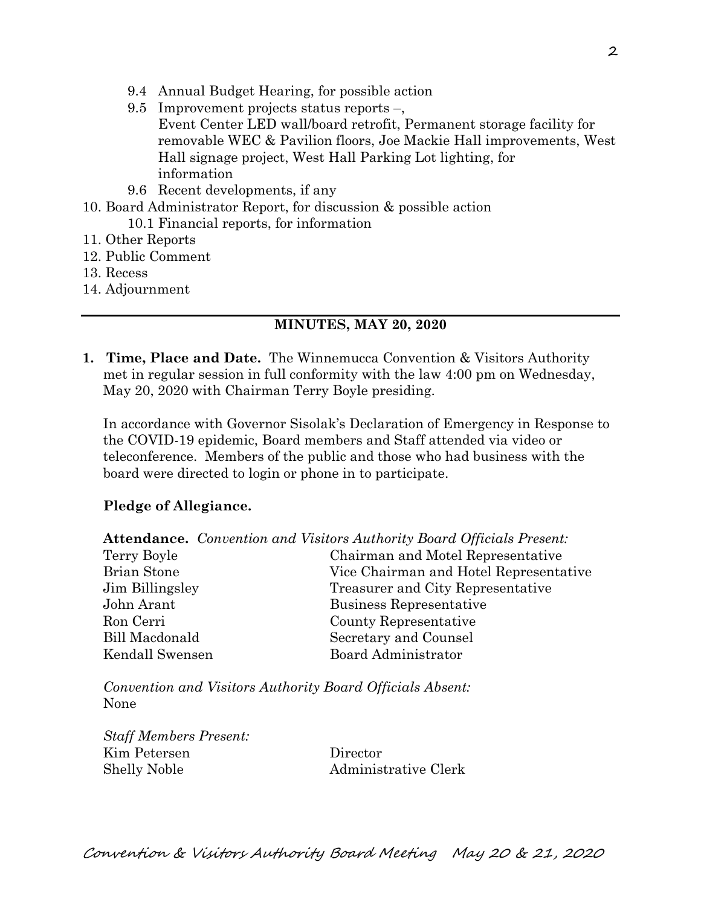- 9.4 Annual Budget Hearing, for possible action
- 9.5 Improvement projects status reports –, Event Center LED wall/board retrofit, Permanent storage facility for removable WEC & Pavilion floors, Joe Mackie Hall improvements, West Hall signage project, West Hall Parking Lot lighting, for information
- 9.6 Recent developments, if any
- 10. Board Administrator Report, for discussion & possible action
	- 10.1 Financial reports, for information
- 11. Other Reports
- 12. Public Comment
- 13. Recess
- 14. Adjournment

### **MINUTES, MAY 20, 2020**

**1. Time, Place and Date.** The Winnemucca Convention & Visitors Authority met in regular session in full conformity with the law 4:00 pm on Wednesday, May 20, 2020 with Chairman Terry Boyle presiding.

In accordance with Governor Sisolak's Declaration of Emergency in Response to the COVID-19 epidemic, Board members and Staff attended via video or teleconference. Members of the public and those who had business with the board were directed to login or phone in to participate.

### **Pledge of Allegiance.**

**Attendance.** *Convention and Visitors Authority Board Officials Present:*

| Terry Boyle        | Chairman and Motel Representative      |
|--------------------|----------------------------------------|
| <b>Brian Stone</b> | Vice Chairman and Hotel Representative |
| Jim Billingsley    | Treasurer and City Representative      |
| John Arant         | Business Representative                |
| Ron Cerri          | County Representative                  |
| Bill Macdonald     | Secretary and Counsel                  |
| Kendall Swensen    | Board Administrator                    |

*Convention and Visitors Authority Board Officials Absent:* None

*Staff Members Present:* Kim Petersen Director Shelly Noble Administrative Clerk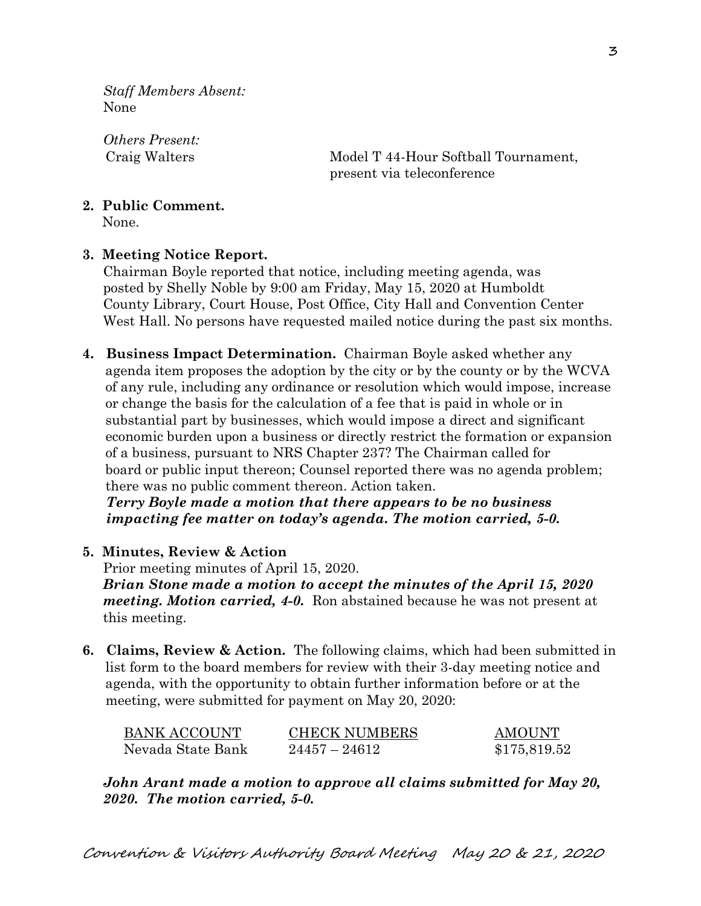*Staff Members Absent:* None

*Others Present:*

 Craig Walters Model T 44-Hour Softball Tournament, present via teleconference

# **2. Public Comment.**

None.

## **3. Meeting Notice Report.**

Chairman Boyle reported that notice, including meeting agenda, was posted by Shelly Noble by 9:00 am Friday, May 15, 2020 at Humboldt County Library, Court House, Post Office, City Hall and Convention Center West Hall. No persons have requested mailed notice during the past six months.

**4. Business Impact Determination.** Chairman Boyle asked whether any agenda item proposes the adoption by the city or by the county or by the WCVA of any rule, including any ordinance or resolution which would impose, increase or change the basis for the calculation of a fee that is paid in whole or in substantial part by businesses, which would impose a direct and significant economic burden upon a business or directly restrict the formation or expansion of a business, pursuant to NRS Chapter 237? The Chairman called for board or public input thereon; Counsel reported there was no agenda problem; there was no public comment thereon. Action taken.

 *Terry Boyle made a motion that there appears to be no business impacting fee matter on today's agenda. The motion carried, 5-0.*

## **5. Minutes, Review & Action**

Prior meeting minutes of April 15, 2020.

*Brian Stone made a motion to accept the minutes of the April 15, 2020 meeting. Motion carried, 4-0.* Ron abstained because he was not present at this meeting.

**6. Claims, Review & Action.** The following claims, which had been submitted in list form to the board members for review with their 3-day meeting notice and agenda, with the opportunity to obtain further information before or at the meeting, were submitted for payment on May 20, 2020:

| BANK ACCOUNT      | <b>CHECK NUMBERS</b> | AMOUNT       |
|-------------------|----------------------|--------------|
| Nevada State Bank | $24457 - 24612$      | \$175,819.52 |

*John Arant made a motion to approve all claims submitted for May 20, 2020. The motion carried, 5-0.*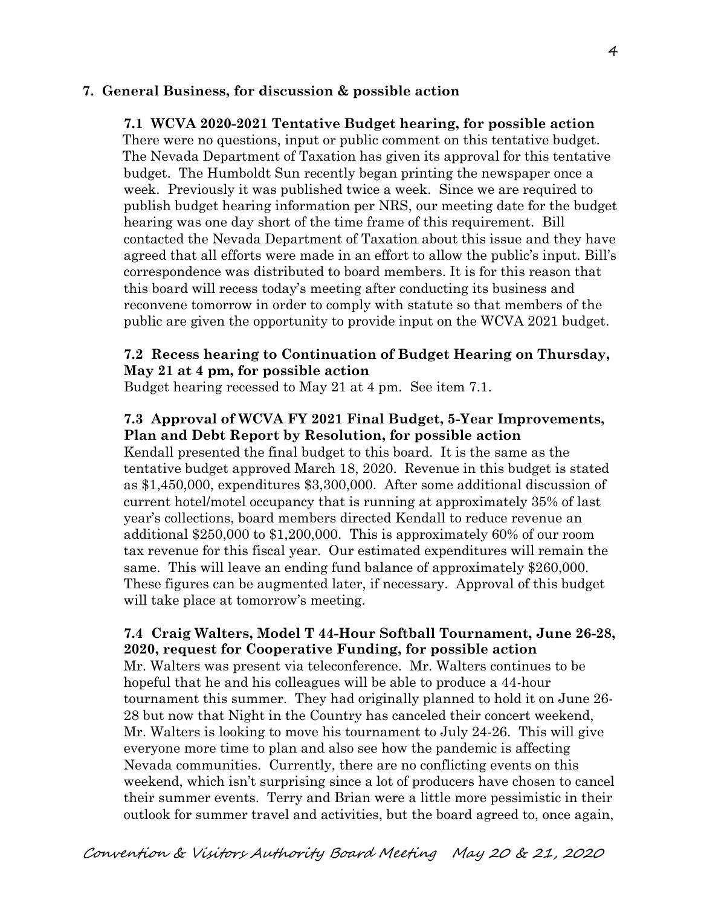### **7. General Business, for discussion & possible action**

## **7.1 WCVA 2020-2021 Tentative Budget hearing, for possible action**

 There were no questions, input or public comment on this tentative budget. The Nevada Department of Taxation has given its approval for this tentative budget. The Humboldt Sun recently began printing the newspaper once a week. Previously it was published twice a week. Since we are required to publish budget hearing information per NRS, our meeting date for the budget hearing was one day short of the time frame of this requirement. Bill contacted the Nevada Department of Taxation about this issue and they have agreed that all efforts were made in an effort to allow the public's input. Bill's correspondence was distributed to board members. It is for this reason that this board will recess today's meeting after conducting its business and reconvene tomorrow in order to comply with statute so that members of the public are given the opportunity to provide input on the WCVA 2021 budget.

## **7.2 Recess hearing to Continuation of Budget Hearing on Thursday, May 21 at 4 pm, for possible action**

Budget hearing recessed to May 21 at 4 pm. See item 7.1.

## **7.3 Approval of WCVA FY 2021 Final Budget, 5-Year Improvements, Plan and Debt Report by Resolution, for possible action**

Kendall presented the final budget to this board. It is the same as the tentative budget approved March 18, 2020. Revenue in this budget is stated as \$1,450,000, expenditures \$3,300,000. After some additional discussion of current hotel/motel occupancy that is running at approximately 35% of last year's collections, board members directed Kendall to reduce revenue an additional \$250,000 to \$1,200,000. This is approximately 60% of our room tax revenue for this fiscal year. Our estimated expenditures will remain the same. This will leave an ending fund balance of approximately \$260,000. These figures can be augmented later, if necessary. Approval of this budget will take place at tomorrow's meeting.

## **7.4 Craig Walters, Model T 44-Hour Softball Tournament, June 26-28, 2020, request for Cooperative Funding, for possible action**

Mr. Walters was present via teleconference. Mr. Walters continues to be hopeful that he and his colleagues will be able to produce a 44-hour tournament this summer. They had originally planned to hold it on June 26- 28 but now that Night in the Country has canceled their concert weekend, Mr. Walters is looking to move his tournament to July 24-26. This will give everyone more time to plan and also see how the pandemic is affecting Nevada communities. Currently, there are no conflicting events on this weekend, which isn't surprising since a lot of producers have chosen to cancel their summer events. Terry and Brian were a little more pessimistic in their outlook for summer travel and activities, but the board agreed to, once again,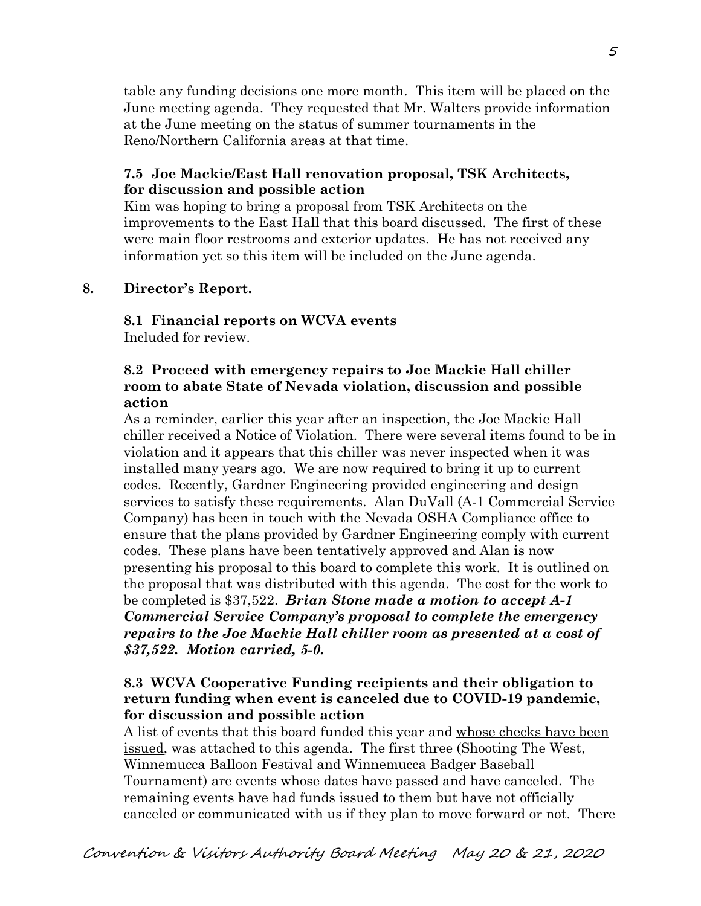table any funding decisions one more month. This item will be placed on the June meeting agenda. They requested that Mr. Walters provide information at the June meeting on the status of summer tournaments in the Reno/Northern California areas at that time.

### **7.5 Joe Mackie/East Hall renovation proposal, TSK Architects, for discussion and possible action**

Kim was hoping to bring a proposal from TSK Architects on the improvements to the East Hall that this board discussed. The first of these were main floor restrooms and exterior updates. He has not received any information yet so this item will be included on the June agenda.

### **8. Director's Report.**

**8.1 Financial reports on WCVA events**  Included for review.

### **8.2 Proceed with emergency repairs to Joe Mackie Hall chiller room to abate State of Nevada violation, discussion and possible action**

As a reminder, earlier this year after an inspection, the Joe Mackie Hall chiller received a Notice of Violation. There were several items found to be in violation and it appears that this chiller was never inspected when it was installed many years ago. We are now required to bring it up to current codes. Recently, Gardner Engineering provided engineering and design services to satisfy these requirements. Alan DuVall (A-1 Commercial Service Company) has been in touch with the Nevada OSHA Compliance office to ensure that the plans provided by Gardner Engineering comply with current codes. These plans have been tentatively approved and Alan is now presenting his proposal to this board to complete this work. It is outlined on the proposal that was distributed with this agenda. The cost for the work to be completed is \$37,522. *Brian Stone made a motion to accept A-1 Commercial Service Company's proposal to complete the emergency repairs to the Joe Mackie Hall chiller room as presented at a cost of \$37,522. Motion carried, 5-0.* 

### **8.3 WCVA Cooperative Funding recipients and their obligation to return funding when event is canceled due to COVID-19 pandemic, for discussion and possible action**

A list of events that this board funded this year and whose checks have been issued, was attached to this agenda. The first three (Shooting The West, Winnemucca Balloon Festival and Winnemucca Badger Baseball Tournament) are events whose dates have passed and have canceled. The remaining events have had funds issued to them but have not officially canceled or communicated with us if they plan to move forward or not. There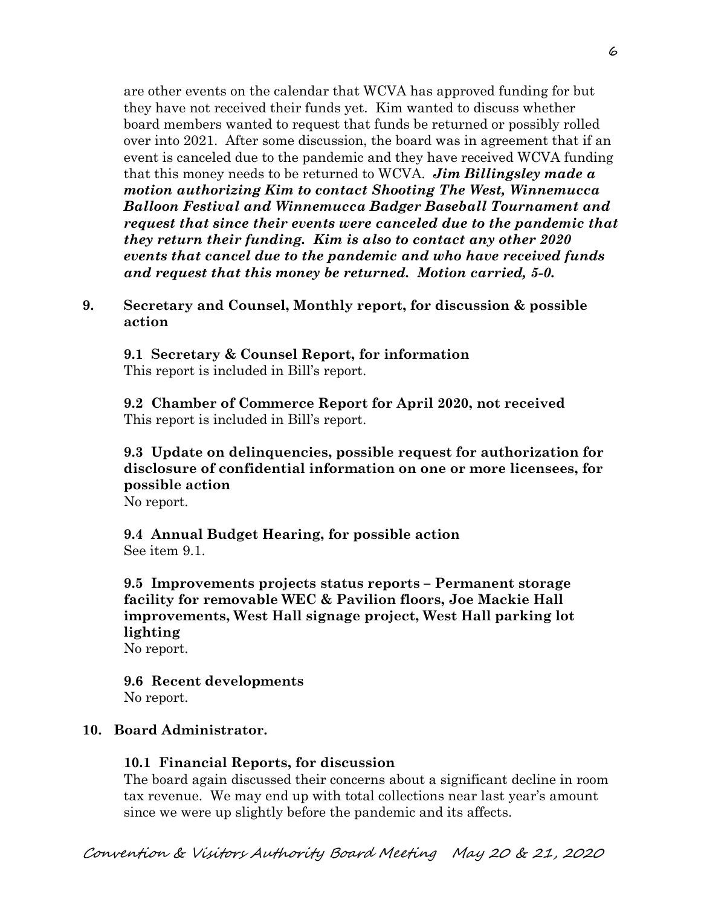are other events on the calendar that WCVA has approved funding for but they have not received their funds yet. Kim wanted to discuss whether board members wanted to request that funds be returned or possibly rolled over into 2021. After some discussion, the board was in agreement that if an event is canceled due to the pandemic and they have received WCVA funding that this money needs to be returned to WCVA. *Jim Billingsley made a motion authorizing Kim to contact Shooting The West, Winnemucca Balloon Festival and Winnemucca Badger Baseball Tournament and request that since their events were canceled due to the pandemic that they return their funding. Kim is also to contact any other 2020 events that cancel due to the pandemic and who have received funds and request that this money be returned. Motion carried, 5-0.* 

**9. Secretary and Counsel, Monthly report, for discussion & possible action**

 **9.1 Secretary & Counsel Report, for information**  This report is included in Bill's report.

**9.2 Chamber of Commerce Report for April 2020, not received** This report is included in Bill's report.

# **9.3 Update on delinquencies, possible request for authorization for disclosure of confidential information on one or more licensees, for possible action**

No report.

 **9.4 Annual Budget Hearing, for possible action** See item 9.1.

**9.5 Improvements projects status reports – Permanent storage facility for removable WEC & Pavilion floors, Joe Mackie Hall improvements, West Hall signage project, West Hall parking lot lighting**

No report.

**9.6 Recent developments** No report.

### **10. Board Administrator.**

#### **10.1 Financial Reports, for discussion**

The board again discussed their concerns about a significant decline in room tax revenue. We may end up with total collections near last year's amount since we were up slightly before the pandemic and its affects.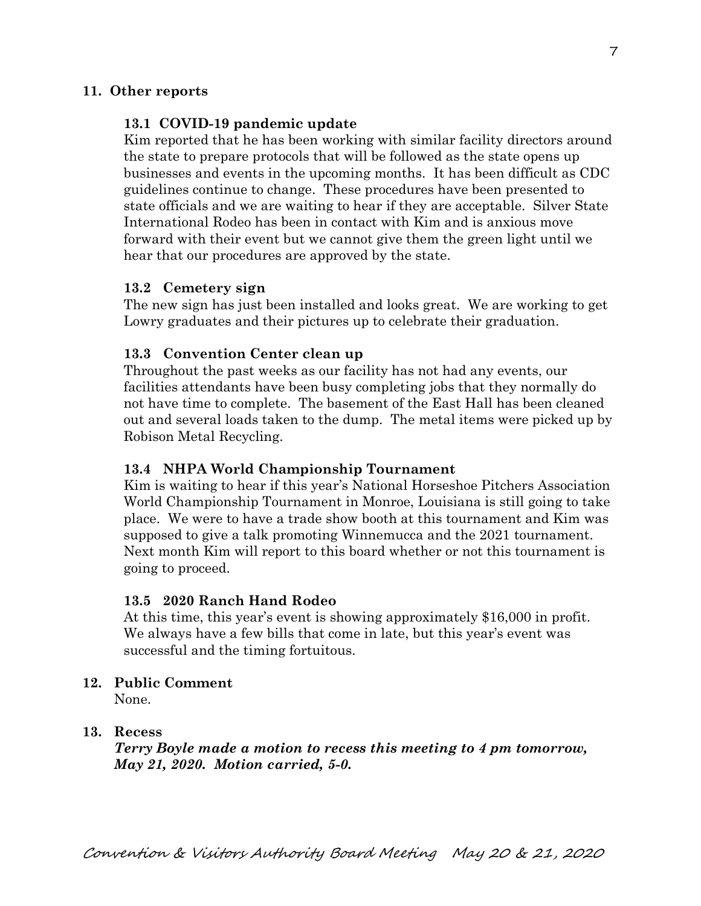#### **11. Other reports**

#### **13.1 COVID-19 pandemic update**

Kim reported that he has been working with similar facility directors around the state to prepare protocols that will be followed as the state opens up businesses and events in the upcoming months. It has been difficult as CDC guidelines continue to change. These procedures have been presented to state officials and we are waiting to hear if they are acceptable. Silver State International Rodeo has been in contact with Kim and is anxious move forward with their event but we cannot give them the green light until we hear that our procedures are approved by the state.

#### **13.2 Cemetery sign**

The new sign has just been installed and looks great. We are working to get Lowry graduates and their pictures up to celebrate their graduation.

#### **13.3 Convention Center clean up**

Throughout the past weeks as our facility has not had any events, our facilities attendants have been busy completing jobs that they normally do not have time to complete. The basement of the East Hall has been cleaned out and several loads taken to the dump. The metal items were picked up by Robison Metal Recycling.

#### **13.4 NHPA World Championship Tournament**

Kim is waiting to hear if this year's National Horseshoe Pitchers Association World Championship Tournament in Monroe, Louisiana is still going to take place. We were to have a trade show booth at this tournament and Kim was supposed to give a talk promoting Winnemucca and the 2021 tournament. Next month Kim will report to this board whether or not this tournament is going to proceed.

#### **13.5 2020 Ranch Hand Rodeo**

At this time, this year's event is showing approximately \$16,000 in profit. We always have a few bills that come in late, but this year's event was successful and the timing fortuitous.

#### **12. Public Comment**

None.

#### **13. Recess**

*Terry Boyle made a motion to recess this meeting to 4 pm tomorrow, May 21, 2020. Motion carried, 5-0.*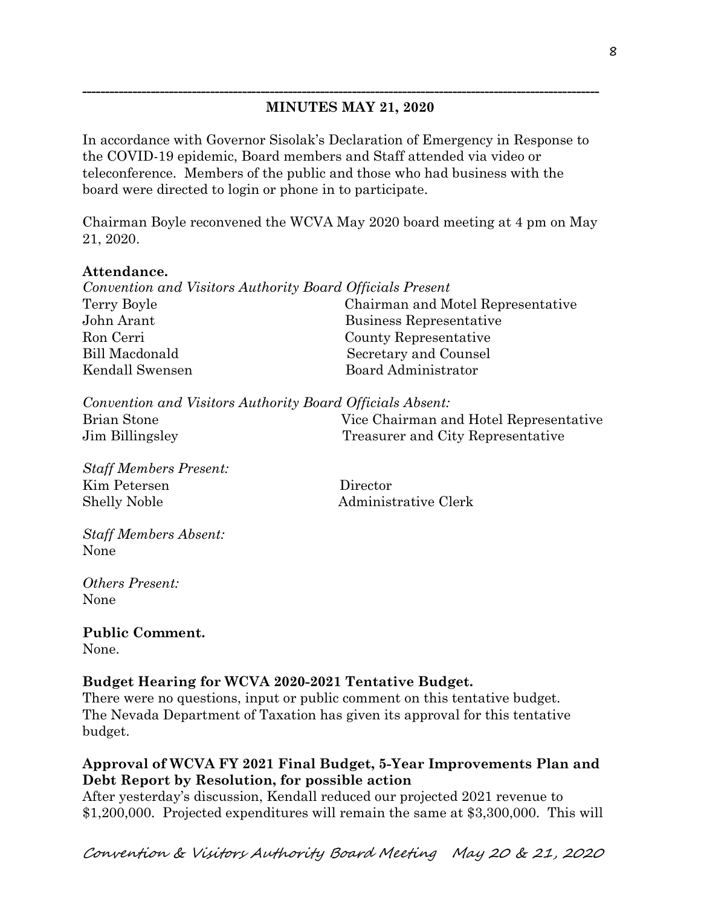## **MINUTES MAY 21, 2020**

**-----------------------------------------------------------------------------------------------------------------**

In accordance with Governor Sisolak's Declaration of Emergency in Response to the COVID-19 epidemic, Board members and Staff attended via video or teleconference. Members of the public and those who had business with the board were directed to login or phone in to participate.

Chairman Boyle reconvened the WCVA May 2020 board meeting at 4 pm on May 21, 2020.

### **Attendance.**

| Convention and Visitors Authority Board Officials Present |                                   |
|-----------------------------------------------------------|-----------------------------------|
| Terry Boyle                                               | Chairman and Motel Representative |
| John Arant                                                | Business Representative           |
| Ron Cerri                                                 | County Representative             |
| Bill Macdonald                                            | Secretary and Counsel             |
| Kendall Swensen                                           | Board Administrator               |

*Convention and Visitors Authority Board Officials Absent:* Brian Stone Vice Chairman and Hotel Representative Jim Billingsley Treasurer and City Representative

*Staff Members Present:* Kim Petersen Director Shelly Noble Administrative Clerk

*Staff Members Absent:* None

*Others Present:* None

**Public Comment.** None.

### **Budget Hearing for WCVA 2020-2021 Tentative Budget.**

There were no questions, input or public comment on this tentative budget. The Nevada Department of Taxation has given its approval for this tentative budget.

## **Approval of WCVA FY 2021 Final Budget, 5-Year Improvements Plan and Debt Report by Resolution, for possible action**

After yesterday's discussion, Kendall reduced our projected 2021 revenue to \$1,200,000. Projected expenditures will remain the same at \$3,300,000. This will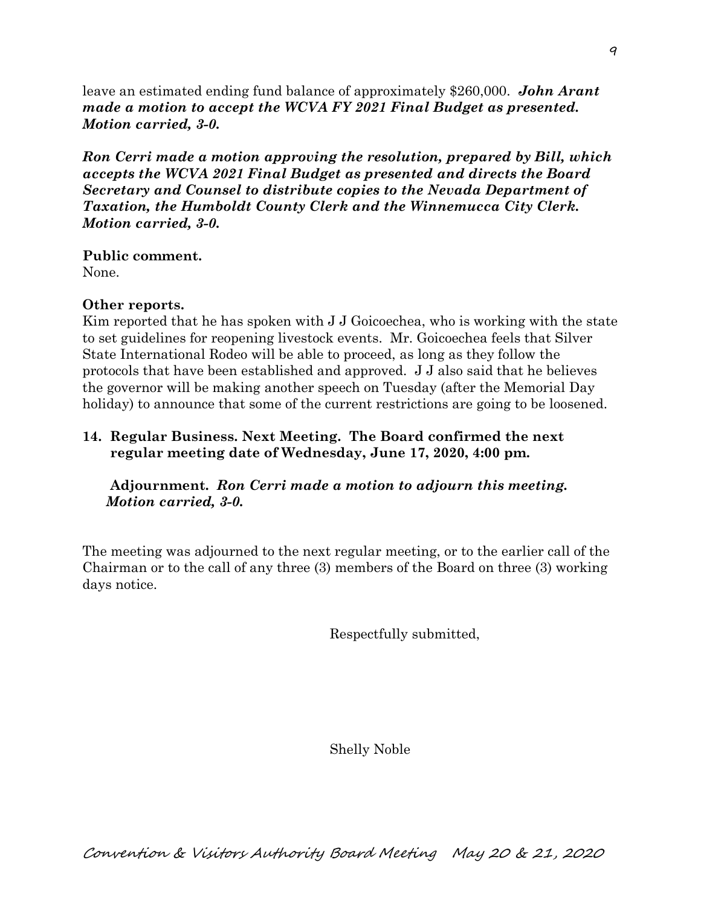leave an estimated ending fund balance of approximately \$260,000. *John Arant made a motion to accept the WCVA FY 2021 Final Budget as presented. Motion carried, 3-0.* 

*Ron Cerri made a motion approving the resolution, prepared by Bill, which accepts the WCVA 2021 Final Budget as presented and directs the Board Secretary and Counsel to distribute copies to the Nevada Department of Taxation, the Humboldt County Clerk and the Winnemucca City Clerk. Motion carried, 3-0.*

**Public comment.**

None.

## **Other reports.**

Kim reported that he has spoken with J J Goicoechea, who is working with the state to set guidelines for reopening livestock events. Mr. Goicoechea feels that Silver State International Rodeo will be able to proceed, as long as they follow the protocols that have been established and approved. J J also said that he believes the governor will be making another speech on Tuesday (after the Memorial Day holiday) to announce that some of the current restrictions are going to be loosened.

## **14. Regular Business. Next Meeting. The Board confirmed the next regular meeting date of Wednesday, June 17, 2020, 4:00 pm.**

## **Adjournment.** *Ron Cerri made a motion to adjourn this meeting. Motion carried, 3-0.*

The meeting was adjourned to the next regular meeting, or to the earlier call of the Chairman or to the call of any three (3) members of the Board on three (3) working days notice.

Respectfully submitted,

Shelly Noble